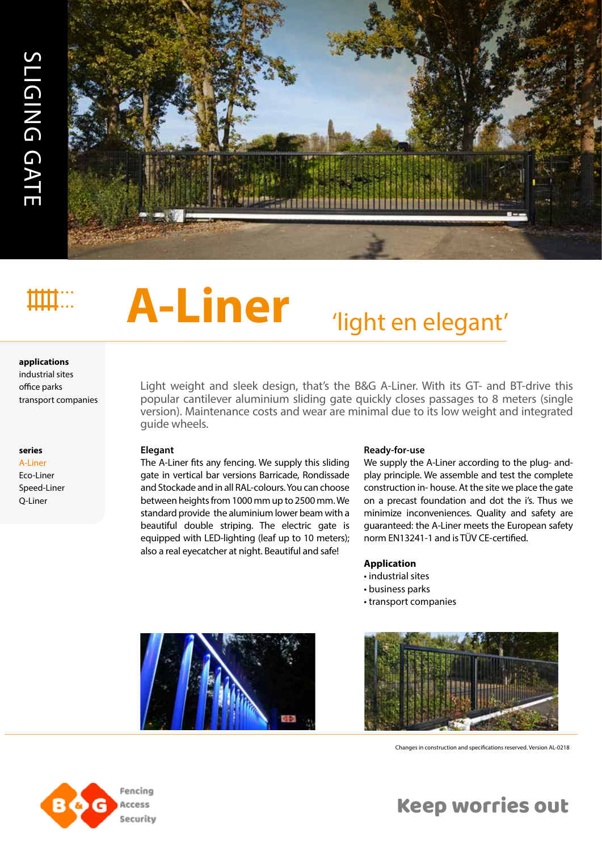

# **A-Liner** 'light en elegant'

#### **applications**

industrial sites office parks

#### **series**

A-Liner Eco-Liner Speed-Liner Q-Liner

Light weight and sleek design, that's the B&G A-Liner. With its GT- and BT-drive this popular cantilever aluminium sliding gate quickly closes passages to 8 meters (single version). Maintenance costs and wear are minimal due to its low weight and integrated guide wheels.

#### **Elegant**

The A-Liner fits any fencing. We supply this sliding gate in vertical bar versions Barricade, Rondissade and Stockade and in all RAL-colours. You can choose between heights from 1000 mm up to 2500 mm. We standard provide the aluminium lower beam with a beautiful double striping. The electric gate is equipped with LED-lighting (leaf up to 10 meters); also a real eyecatcher at night. Beautiful and safe!

#### **Ready-for-use**

We supply the A-Liner according to the plug- andplay principle. We assemble and test the complete construction in- house. At the site we place the gate on a precast foundation and dot the i's. Thus we minimize inconveniences. Quality and safety are guaranteed: the A-Liner meets the European safety norm EN13241-1 and is TÜV CE-certified.

#### **Application**

- industrial sites
- business parks
- transport companies





Changes in construction and specifications reserved. Version AL-0218



Keep worries out